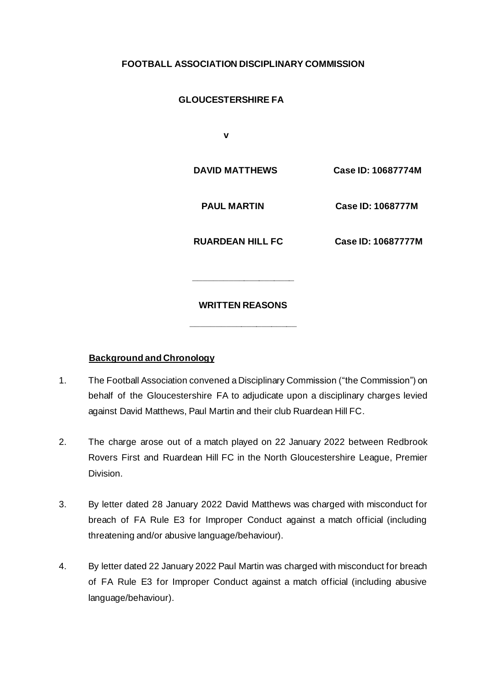## **FOOTBALL ASSOCIATION DISCIPLINARY COMMISSION**

# **GLOUCESTERSHIRE FA**

 **v** 

 **DAVID MATTHEWS Case ID: 10687774M**

 **PAUL MARTIN Case ID: 1068777M**

 **RUARDEAN HILL FC Case ID: 10687777M** 

### **WRITTEN REASONS**

**\_\_\_\_\_\_\_\_\_\_\_\_\_\_\_\_\_\_\_\_\_**

**\_\_\_\_\_\_\_\_\_\_\_\_\_\_\_\_\_\_\_\_**

### **Background and Chronology**

- 1. The Football Association convened a Disciplinary Commission ("the Commission") on behalf of the Gloucestershire FA to adjudicate upon a disciplinary charges levied against David Matthews, Paul Martin and their club Ruardean Hill FC.
- 2. The charge arose out of a match played on 22 January 2022 between Redbrook Rovers First and Ruardean Hill FC in the North Gloucestershire League, Premier Division.
- 3. By letter dated 28 January 2022 David Matthews was charged with misconduct for breach of FA Rule E3 for Improper Conduct against a match official (including threatening and/or abusive language/behaviour).
- 4. By letter dated 22 January 2022 Paul Martin was charged with misconduct for breach of FA Rule E3 for Improper Conduct against a match official (including abusive language/behaviour).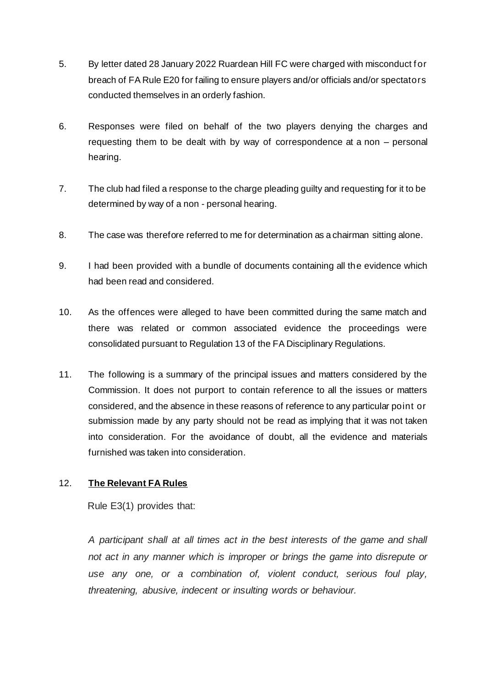- 5. By letter dated 28 January 2022 Ruardean Hill FC were charged with misconduct f or breach of FA Rule E20 for failing to ensure players and/or officials and/or spectators conducted themselves in an orderly fashion.
- 6. Responses were filed on behalf of the two players denying the charges and requesting them to be dealt with by way of correspondence at a non – personal hearing.
- 7. The club had filed a response to the charge pleading guilty and requesting for it to be determined by way of a non - personal hearing.
- 8. The case was therefore referred to me for determination as a chairman sitting alone.
- 9. I had been provided with a bundle of documents containing all the evidence which had been read and considered.
- 10. As the offences were alleged to have been committed during the same match and there was related or common associated evidence the proceedings were consolidated pursuant to Regulation 13 of the FA Disciplinary Regulations.
- 11. The following is a summary of the principal issues and matters considered by the Commission. It does not purport to contain reference to all the issues or matters considered, and the absence in these reasons of reference to any particular point or submission made by any party should not be read as implying that it was not taken into consideration. For the avoidance of doubt, all the evidence and materials furnished was taken into consideration.

# 12. **The Relevant FA Rules**

Rule E3(1) provides that:

*A participant shall at all times act in the best interests of the game and shall not act in any manner which is improper or brings the game into disrepute or use any one, or a combination of, violent conduct, serious foul play, threatening, abusive, indecent or insulting words or behaviour.*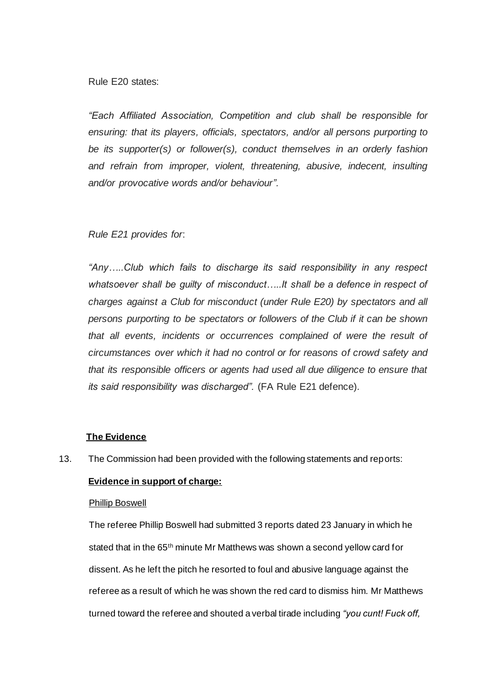Rule E20 states:

*"Each Affiliated Association, Competition and club shall be responsible for ensuring: that its players, officials, spectators, and/or all persons purporting to be its supporter(s) or follower(s), conduct themselves in an orderly fashion and refrain from improper, violent, threatening, abusive, indecent, insulting and/or provocative words and/or behaviour".*

### *Rule E21 provides for*:

*"Any…..Club which fails to discharge its said responsibility in any respect whatsoever shall be guilty of misconduct…..It shall be a defence in respect of charges against a Club for misconduct (under Rule E20) by spectators and all persons purporting to be spectators or followers of the Club if it can be shown that all events, incidents or occurrences complained of were the result of circumstances over which it had no control or for reasons of crowd safety and that its responsible officers or agents had used all due diligence to ensure that its said responsibility was discharged".* (FA Rule E21 defence).

### **The Evidence**

13. The Commission had been provided with the following statements and reports:

### **Evidence in support of charge:**

### Phillip Boswell

 The referee Phillip Boswell had submitted 3 reports dated 23 January in which he stated that in the 65<sup>th</sup> minute Mr Matthews was shown a second yellow card for dissent. As he left the pitch he resorted to foul and abusive language against the referee as a result of which he was shown the red card to dismiss him. Mr Matthews turned toward the referee and shouted a verbal tirade including *"you cunt! Fuck off,*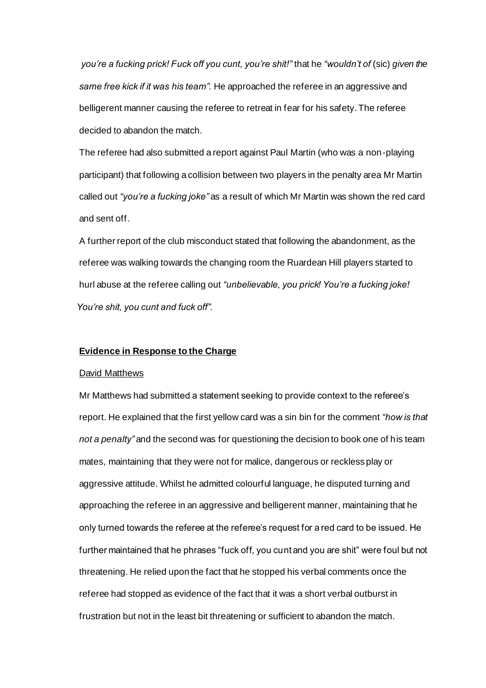*you're a fucking prick! Fuck off you cunt, you're shit!"* that he *"wouldn't of* (sic) *given the same free kick if it was his team".* He approached the referee in an aggressive and belligerent manner causing the referee to retreat in fear for his safety. The referee decided to abandon the match.

 The referee had also submitted a report against Paul Martin (who was a non-playing participant) that following a collision between two players in the penalty area Mr Martin called out *"you're a fucking joke"* as a result of which Mr Martin was shown the red card and sent off.

 A further report of the club misconduct stated that following the abandonment, as the referee was walking towards the changing room the Ruardean Hill players started to hurl abuse at the referee calling out *"unbelievable, you prick! You're a fucking joke! You're shit, you cunt and fuck off".*

#### **Evidence in Response to the Charge**

#### David Matthews

 Mr Matthews had submitted a statement seeking to provide context to the referee's report. He explained that the first yellow card was a sin bin for the comment *"how is that not a penalty"* and the second was for questioning the decision to book one of his team mates, maintaining that they were not for malice, dangerous or reckless play or aggressive attitude. Whilst he admitted colourful language, he disputed turning and approaching the referee in an aggressive and belligerent manner, maintaining that he only turned towards the referee at the referee's request for a red card to be issued. He further maintained that he phrases "fuck off, you cunt and you are shit" were foul but not threatening. He relied upon the fact that he stopped his verbal comments once the referee had stopped as evidence of the fact that it was a short verbal outburst in frustration but not in the least bit threatening or sufficient to abandon the match.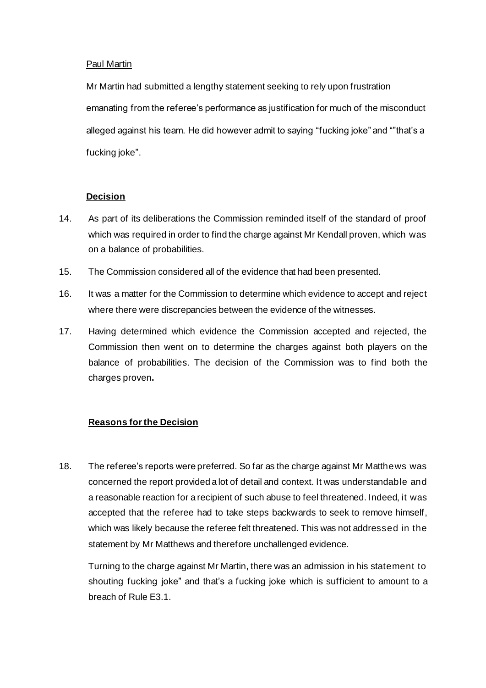### Paul Martin

 Mr Martin had submitted a lengthy statement seeking to rely upon frustration emanating from the referee's performance as justification for much of the misconduct alleged against his team. He did however admit to saying "fucking joke" and ""that's a fucking joke".

### **Decision**

- 14. As part of its deliberations the Commission reminded itself of the standard of proof which was required in order to find the charge against Mr Kendall proven, which was on a balance of probabilities.
- 15. The Commission considered all of the evidence that had been presented.
- 16. It was a matter for the Commission to determine which evidence to accept and reject where there were discrepancies between the evidence of the witnesses.
- 17. Having determined which evidence the Commission accepted and rejected, the Commission then went on to determine the charges against both players on the balance of probabilities. The decision of the Commission was to find both the charges proven**.**

### **Reasons for the Decision**

18. The referee's reports were preferred. So far as the charge against Mr Matthews was concerned the report provided a lot of detail and context. It was understandable and a reasonable reaction for a recipient of such abuse to feel threatened. Indeed, it was accepted that the referee had to take steps backwards to seek to remove himself, which was likely because the referee felt threatened. This was not addressed in the statement by Mr Matthews and therefore unchallenged evidence.

Turning to the charge against Mr Martin, there was an admission in his statement to shouting fucking joke" and that's a fucking joke which is sufficient to amount to a breach of Rule E3.1.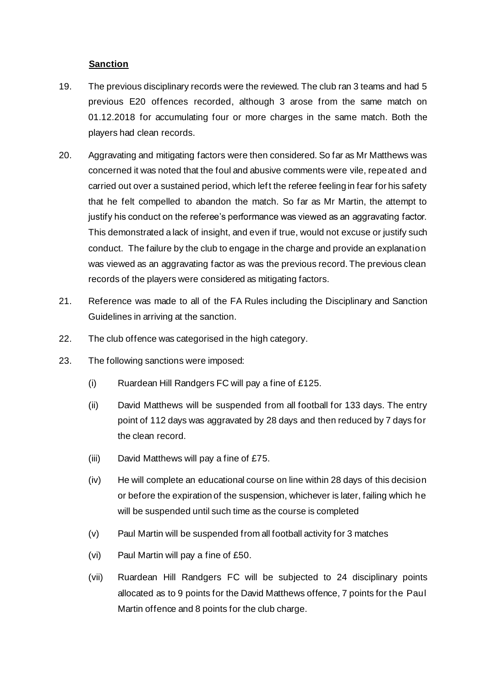### **Sanction**

- 19. The previous disciplinary records were the reviewed. The club ran 3 teams and had 5 previous E20 offences recorded, although 3 arose from the same match on 01.12.2018 for accumulating four or more charges in the same match. Both the players had clean records.
- 20. Aggravating and mitigating factors were then considered. So far as Mr Matthews was concerned it was noted that the foul and abusive comments were vile, repeated and carried out over a sustained period, which left the referee feeling in fear for his safety that he felt compelled to abandon the match. So far as Mr Martin, the attempt to justify his conduct on the referee's performance was viewed as an aggravating factor. This demonstrated a lack of insight, and even if true, would not excuse or justify such conduct. The failure by the club to engage in the charge and provide an explanation was viewed as an aggravating factor as was the previous record. The previous clean records of the players were considered as mitigating factors.
- 21. Reference was made to all of the FA Rules including the Disciplinary and Sanction Guidelines in arriving at the sanction.
- 22. The club offence was categorised in the high category.
- 23. The following sanctions were imposed:
	- (i) Ruardean Hill Randgers FC will pay a fine of £125.
	- (ii) David Matthews will be suspended from all football for 133 days. The entry point of 112 days was aggravated by 28 days and then reduced by 7 days for the clean record.
	- (iii) David Matthews will pay a fine of £75.
	- (iv) He will complete an educational course on line within 28 days of this decision or before the expiration of the suspension, whichever is later, failing which he will be suspended until such time as the course is completed
	- (v) Paul Martin will be suspended from all football activity for 3 matches
	- (vi) Paul Martin will pay a fine of £50.
	- (vii) Ruardean Hill Randgers FC will be subjected to 24 disciplinary points allocated as to 9 points for the David Matthews offence, 7 points for the Paul Martin offence and 8 points for the club charge.